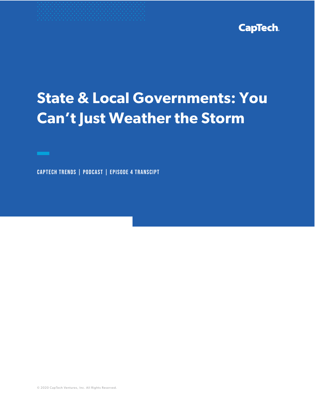

# **State & Local Governments: You Can't Just Weather the Storm**

CapTech Trends | PodCast | Episode 4 Transcipt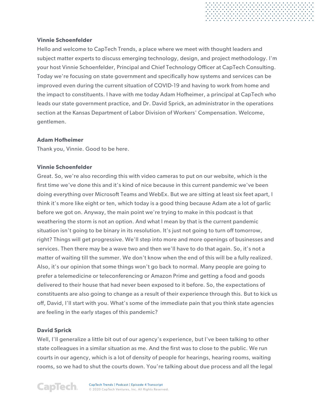## **Vinnie Schoenfelder**

Hello and welcome to CapTech Trends, a place where we meet with thought leaders and subject matter experts to discuss emerging technology, design, and project methodology. I'm your host Vinnie Schoenfelder, Principal and Chief Technology Officer at CapTech Consulting. Today we're focusing on state government and specifically how systems and services can be improved even during the current situation of COVID-19 and having to work from home and the impact to constituents. I have with me today Adam Hofheimer, a principal at CapTech who leads our state government practice, and Dr. David Sprick, an administrator in the operations section at the Kansas Department of Labor Division of Workers' Compensation. Welcome, gentlemen.

. . . . . . . . . . . . . . . . . .<br>. . . . . . . . . . . . . . . . . .<br>. . . . . . . . . . . . . . . . . .

## **Adam Hofheimer**

Thank you, Vinnie. Good to be here.

## **Vinnie Schoenfelder**

Great. So, we're also recording this with video cameras to put on our website, which is the first time we've done this and it's kind of nice because in this current pandemic we've been doing everything over Microsoft Teams and WebEx. But we are sitting at least six feet apart, I think it's more like eight or ten, which today is a good thing because Adam ate a lot of garlic before we got on. Anyway, the main point we're trying to make in this podcast is that weathering the storm is not an option. And what I mean by that is the current pandemic situation isn't going to be binary in its resolution. It's just not going to turn off tomorrow, right? Things will get progressive. We'll step into more and more openings of businesses and services. Then there may be a wave two and then we'll have to do that again. So, it's not a matter of waiting till the summer. We don't know when the end of this will be a fully realized. Also, it's our opinion that some things won't go back to normal. Many people are going to prefer a telemedicine or teleconferencing or Amazon Prime and getting a food and goods delivered to their house that had never been exposed to it before. So, the expectations of constituents are also going to change as a result of their experience through this. But to kick us off, David, I'll start with you. What's some of the immediate pain that you think state agencies are feeling in the early stages of this pandemic?

# **David Sprick**

Well, I'll generalize a little bit out of our agency's experience, but I've been talking to other state colleagues in a similar situation as me. And the first was to close to the public. We run courts in our agency, which is a lot of density of people for hearings, hearing rooms, waiting rooms, so we had to shut the courts down. You're talking about due process and all the legal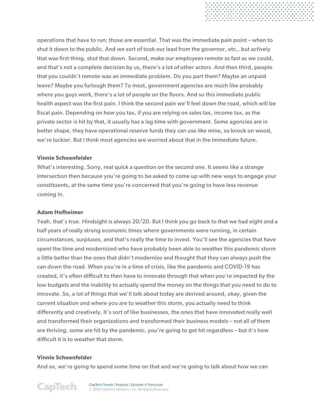operations that have to run; those are essential. That was the immediate pain point – when to shut it down to the public. And we sort of took our lead from the governor, etc., but actively that was first thing, shut that down. Second, make our employees remote as fast as we could, and that's not a complete decision by us, there's a lot of other actors. And then third, people that you couldn't remote was an immediate problem. Do you part them? Maybe an unpaid leave? Maybe you furlough them? To most, government agencies are much like probably where you guys work, there's a lot of people on the floors. And so this immediate public health aspect was the first pain. I think the second pain we'll feel down the road, which will be fiscal pain. Depending on how you tax, if you are relying on sales tax, income tax, as the private sector is hit by that, it usually has a lag time with government. Some agencies are in better shape, they have operational reserve funds they can use like mine, so knock on wood, we're luckier. But I think most agencies are worried about that in the immediate future.

## **Vinnie Schoenfelder**

What's interesting. Sorry, real quick a question on the second one. It seems like a strange intersection then because you're going to be asked to come up with new ways to engage your constituents, at the same time you're concerned that you're going to have less revenue coming in.

## **Adam Hofheimer**

Yeah, that's true. Hindsight is always 20/20. But I think you go back to that we had eight and a half years of really strong economic times where governments were running, in certain circumstances, surpluses, and that's really the time to invest. You'll see the agencies that have spent the time and modernized who have probably been able to weather this pandemic storm a little better than the ones that didn't modernize and thought that they can always push the can down the road. When you're in a time of crisis, like the pandemic and COVID-19 has created, it's often difficult to then have to innovate through that when you're impacted by the low budgets and the inability to actually spend the money on the things that you need to do to innovate. So, a lot of things that we'll talk about today are derived around, okay, given the current situation and where you are to weather this storm, you actually need to think differently and creatively. It's sort of like businesses, the ones that have innovated really well and transformed their organizations and transformed their business models – not all of them are thriving, some are hit by the pandemic, you're going to get hit regardless – but it's how difficult it is to weather that storm.

# **Vinnie Schoenfelder**

And so, we're going to spend some time on that and we're going to talk about how we can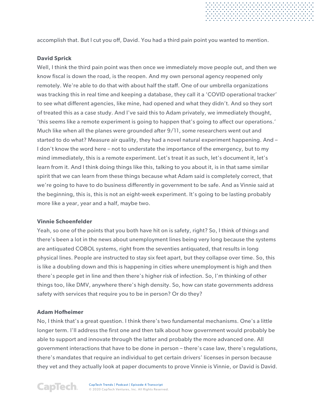accomplish that. But I cut you off, David. You had a third pain point you wanted to mention.

## **David Sprick**

Well, I think the third pain point was then once we immediately move people out, and then we know fiscal is down the road, is the reopen. And my own personal agency reopened only remotely. We're able to do that with about half the staff. One of our umbrella organizations was tracking this in real time and keeping a database, they call it a 'COVID operational tracker' to see what different agencies, like mine, had opened and what they didn't. And so they sort of treated this as a case study. And I've said this to Adam privately, we immediately thought, 'this seems like a remote experiment is going to happen that's going to affect our operations.' Much like when all the planes were grounded after 9/11, some researchers went out and started to do what? Measure air quality, they had a novel natural experiment happening. And – I don't know the word here – not to understate the importance of the emergency, but to my mind immediately, this is a remote experiment. Let's treat it as such, let's document it, let's learn from it. And I think doing things like this, talking to you about it, is in that same similar spirit that we can learn from these things because what Adam said is completely correct, that we're going to have to do business differently in government to be safe. And as Vinnie said at the beginning, this is, this is not an eight-week experiment. It's going to be lasting probably more like a year, year and a half, maybe two.

## **Vinnie Schoenfelder**

Yeah, so one of the points that you both have hit on is safety, right? So, I think of things and there's been a lot in the news about unemployment lines being very long because the systems are antiquated COBOL systems, right from the seventies antiquated, that results in long physical lines. People are instructed to stay six feet apart, but they collapse over time. So, this is like a doubling down and this is happening in cities where unemployment is high and then there's people get in line and then there's higher risk of infection. So, I'm thinking of other things too, like DMV, anywhere there's high density. So, how can state governments address safety with services that require you to be in person? Or do they?

## **Adam Hofheimer**

No, I think that's a great question. I think there's two fundamental mechanisms. One's a little longer term. I'll address the first one and then talk about how government would probably be able to support and innovate through the latter and probably the more advanced one. All government interactions that have to be done in person – there's case law, there's regulations, there's mandates that require an individual to get certain drivers' licenses in person because they vet and they actually look at paper documents to prove Vinnie is Vinnie, or David is David.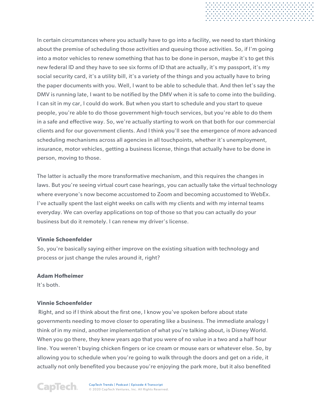In certain circumstances where you actually have to go into a facility, we need to start thinking about the premise of scheduling those activities and queuing those activities. So, if I'm going into a motor vehicles to renew something that has to be done in person, maybe it's to get this new federal ID and they have to see six forms of ID that are actually, it's my passport, it's my social security card, it's a utility bill, it's a variety of the things and you actually have to bring the paper documents with you. Well, I want to be able to schedule that. And then let's say the DMV is running late, I want to be notified by the DMV when it is safe to come into the building. I can sit in my car, I could do work. But when you start to schedule and you start to queue people, you're able to do those government high-touch services, but you're able to do them in a safe and effective way. So, we're actually starting to work on that both for our commercial clients and for our government clients. And I think you'll see the emergence of more advanced scheduling mechanisms across all agencies in all touchpoints, whether it's unemployment, insurance, motor vehicles, getting a business license, things that actually have to be done in person, moving to those.

. . . . . . . . . . . . . . . . . . .<br>. . . . . . . . . . . . . . . . . . .<br>. . . . . . . . . . . . . . . . . . .

The latter is actually the more transformative mechanism, and this requires the changes in laws. But you're seeing virtual court case hearings, you can actually take the virtual technology where everyone's now become accustomed to Zoom and becoming accustomed to WebEx. I've actually spent the last eight weeks on calls with my clients and with my internal teams everyday. We can overlay applications on top of those so that you can actually do your business but do it remotely. I can renew my driver's license.

## **Vinnie Schoenfelder**

So, you're basically saying either improve on the existing situation with technology and process or just change the rules around it, right?

## **Adam Hofheimer**

It's both.

# **Vinnie Schoenfelder**

Right, and so if I think about the first one, I know you've spoken before about state governments needing to move closer to operating like a business. The immediate analogy I think of in my mind, another implementation of what you're talking about, is Disney World. When you go there, they knew years ago that you were of no value in a two and a half hour line. You weren't buying chicken fingers or ice cream or mouse ears or whatever else. So, by allowing you to schedule when you're going to walk through the doors and get on a ride, it actually not only benefited you because you're enjoying the park more, but it also benefited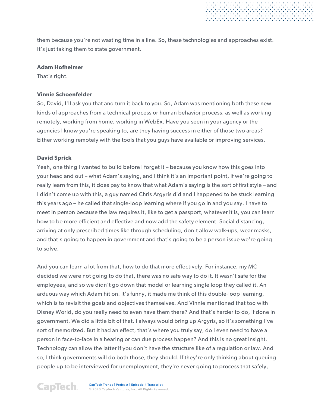them because you're not wasting time in a line. So, these technologies and approaches exist. It's just taking them to state government.

#### **Adam Hofheimer**

That's right.

## **Vinnie Schoenfelder**

So, David, I'll ask you that and turn it back to you. So, Adam was mentioning both these new kinds of approaches from a technical process or human behavior process, as well as working remotely, working from home, working in WebEx. Have you seen in your agency or the agencies I know you're speaking to, are they having success in either of those two areas? Either working remotely with the tools that you guys have available or improving services.

## **David Sprick**

Yeah, one thing I wanted to build before I forget it – because you know how this goes into your head and out – what Adam's saying, and I think it's an important point, if we're going to really learn from this, it does pay to know that what Adam's saying is the sort of first style – and I didn't come up with this, a guy named Chris Argyris did and I happened to be stuck learning this years ago – he called that single-loop learning where if you go in and you say, I have to meet in person because the law requires it, like to get a passport, whatever it is, you can learn how to be more efficient and effective and now add the safety element. Social distancing, arriving at only prescribed times like through scheduling, don't allow walk-ups, wear masks, and that's going to happen in government and that's going to be a person issue we're going to solve.

And you can learn a lot from that, how to do that more effectively. For instance, my MC decided we were not going to do that, there was no safe way to do it. It wasn't safe for the employees, and so we didn't go down that model or learning single loop they called it. An arduous way which Adam hit on. It's funny, it made me think of this double-loop learning, which is to revisit the goals and objectives themselves. And Vinnie mentioned that too with Disney World, do you really need to even have them there? And that's harder to do, if done in government. We did a little bit of that. I always would bring up Argyris, so it's something I've sort of memorized. But it had an effect, that's where you truly say, do I even need to have a person in face-to-face in a hearing or can due process happen? And this is no great insight. Technology can allow the latter if you don't have the structure like of a regulation or law. And so, I think governments will do both those, they should. If they're only thinking about queuing people up to be interviewed for unemployment, they're never going to process that safely,

CapTech.

CapTech Trends | Podcast | Episode 4 Transcript © 2020 CapTech Ventures, Inc. All Rights Reserved.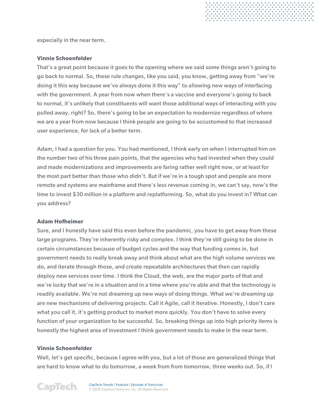especially in the near term.

#### **Vinnie Schoenfelder**

That's a great point because it goes to the opening where we said some things aren't going to go back to normal. So, these rule changes, like you said, you know, getting away from "we're doing it this way because we've always done it this way" to allowing new ways of interfacing with the government. A year from now when there's a vaccine and everyone's going to back to normal, it's unlikely that constituents will want those additional ways of interacting with you pulled away, right? So, there's going to be an expectation to modernize regardless of where we are a year from now because I think people are going to be accustomed to that increased user experience, for lack of a better term.

Adam, I had a question for you. You had mentioned, I think early on when I interrupted him on the number two of his three pain points, that the agencies who had invested when they could and made modernizations and improvements are faring rather well right now, or at least for the most part better than those who didn't. But if we're in a tough spot and people are more remote and systems are mainframe and there's less revenue coming in, we can't say, now's the time to invest \$30 million in a platform and replatforming. So, what do you invest in? What can you address?

#### **Adam Hofheimer**

Sure, and I honestly have said this even before the pandemic, you have to get away from these large programs. They're inherently risky and complex. I think they're still going to be done in certain circumstances because of budget cycles and the way that funding comes in, but government needs to really break away and think about what are the high volume services we do, and iterate through those, and create repeatable architectures that then can rapidly deploy new services over time. I think the Cloud, the web, are the major parts of that and we're lucky that we're in a situation and in a time where you're able and that the technology is readily available. We're not dreaming up new ways of doing things. What we're dreaming up are new mechanisms of delivering projects. Call it Agile, call it iterative. Honestly, I don't care what you call it, it's getting product to market more quickly. You don't have to solve every function of your organization to be successful. So, breaking things up into high priority items is honestly the highest area of investment I think government needs to make in the near term.

## **Vinnie Schoenfelder**

Well, let's get specific, because I agree with you, but a lot of those are generalized things that are hard to know what to do tomorrow, a week from from tomorrow, three weeks out. So, if I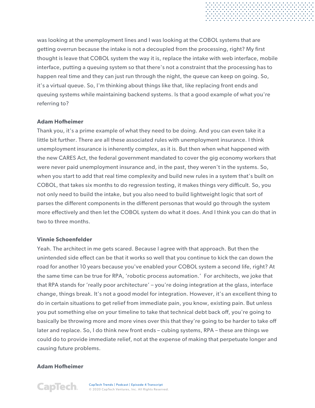was looking at the unemployment lines and I was looking at the COBOL systems that are getting overrun because the intake is not a decoupled from the processing, right? My first thought is leave that COBOL system the way it is, replace the intake with web interface, mobile interface, putting a queuing system so that there's not a constraint that the processing has to happen real time and they can just run through the night, the queue can keep on going. So, it's a virtual queue. So, I'm thinking about things like that, like replacing front ends and queuing systems while maintaining backend systems. Is that a good example of what you're referring to?

. . . . . . . . . . . . . . . . . .<br>. . . . . . . . . . . . . . . . . .<br>. . . . . . . . . . . . . . . . .

## **Adam Hofheimer**

Thank you, it's a prime example of what they need to be doing. And you can even take it a little bit further. There are all these associated rules with unemployment insurance. I think unemployment insurance is inherently complex, as it is. But then when what happened with the new CARES Act, the federal government mandated to cover the gig economy workers that were never paid unemployment insurance and, in the past, they weren't in the systems. So, when you start to add that real time complexity and build new rules in a system that's built on COBOL, that takes six months to do regression testing, it makes things very difficult. So, you not only need to build the intake, but you also need to build lightweight logic that sort of parses the different components in the different personas that would go through the system more effectively and then let the COBOL system do what it does. And I think you can do that in two to three months.

## **Vinnie Schoenfelder**

Yeah. The architect in me gets scared. Because I agree with that approach. But then the unintended side effect can be that it works so well that you continue to kick the can down the road for another 10 years because you've enabled your COBOL system a second life, right? At the same time can be true for RPA, 'robotic process automation.' For architects, we joke that that RPA stands for 'really poor architecture' – you're doing integration at the glass, interface change, things break. It's not a good model for integration. However, it's an excellent thing to do in certain situations to get relief from immediate pain, you know, existing pain. But unless you put something else on your timeline to take that technical debt back off, you're going to basically be throwing more and more vines over this that they're going to be harder to take off later and replace. So, I do think new front ends – cubing systems, RPA – these are things we could do to provide immediate relief, not at the expense of making that perpetuate longer and causing future problems.

## **Adam Hofheimer**

**CapTech.**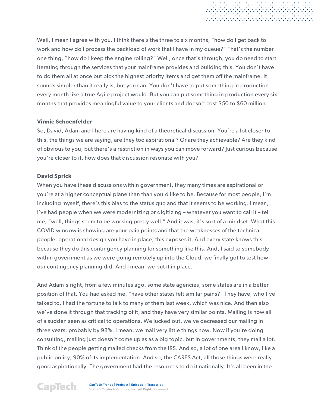Well, I mean I agree with you. I think there's the three to six months, "how do I get back to work and how do I process the backload of work that I have in my queue?" That's the number one thing, "how do I keep the engine rolling?" Well, once that's through, you do need to start iterating through the services that your mainframe provides and building this. You don't have to do them all at once but pick the highest priority items and get them off the mainframe. It sounds simpler than it really is, but you can. You don't have to put something in production every month like a true Agile project would. But you can put something in production every six months that provides meaningful value to your clients and doesn't cost \$50 to \$60 million.

## **Vinnie Schoenfelder**

So, David, Adam and I here are having kind of a theoretical discussion. You're a lot closer to this, the things we are saying, are they too aspirational? Or are they achievable? Are they kind of obvious to you, but there's a restriction in ways you can move forward? Just curious because you're closer to it, how does that discussion resonate with you?

## **David Sprick**

When you have these discussions within government, they many times are aspirational or you're at a higher conceptual plane than than you'd like to be. Because for most people, I'm including myself, there's this bias to the status quo and that it seems to be working. I mean, I've had people when we were modernizing or digitizing – whatever you want to call it – tell me, "well, things seem to be working pretty well." And it was, it's sort of a mindset. What this COVID window is showing are your pain points and that the weaknesses of the technical people, operational design you have in place, this exposes it. And every state knows this because they do this contingency planning for something like this. And, I said to somebody within government as we were going remotely up into the Cloud, we finally got to test how our contingency planning did. And I mean, we put it in place.

And Adam's right, from a few minutes ago, some state agencies, some states are in a better position of that. You had asked me, "have other states felt similar pains?" They have, who I've talked to. I had the fortune to talk to many of them last week, which was nice. And then also we've done it through that tracking of it, and they have very similar points. Mailing is now all of a sudden seen as critical to operations. We lucked out, we've decreased our mailing in three years, probably by 98%, I mean, we mail very little things now. Now if you're doing consulting, mailing just doesn't come up as as a big topic, but in governments, they mail a lot. Think of the people getting mailed checks from the IRS. And so, a lot of one area I know, like a public policy, 90% of its implementation. And so, the CARES Act, all those things were really good aspirationally. The government had the resources to do it nationally. It's all been in the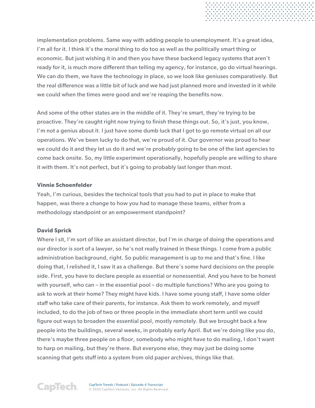implementation problems. Same way with adding people to unemployment. It's a great idea, I'm all for it. I think it's the moral thing to do too as well as the politically smart thing or economic. But just wishing it in and then you have these backend legacy systems that aren't ready for it, is much more different than telling my agency, for instance, go do virtual hearings. We can do them, we have the technology in place, so we look like geniuses comparatively. But the real difference was a little bit of luck and we had just planned more and invested in it while we could when the times were good and we're reaping the benefits now.

And some of the other states are in the middle of it. They're smart, they're trying to be proactive. They're caught right now trying to finish these things out. So, it's just, you know, I'm not a genius about it. I just have some dumb luck that I got to go remote virtual on all our operations. We've been lucky to do that, we're proud of it. Our governor was proud to hear we could do it and they let us do it and we're probably going to be one of the last agencies to come back onsite. So, my little experiment operationally, hopefully people are willing to share it with them. It's not perfect, but it's going to probably last longer than most.

## **Vinnie Schoenfelder**

Yeah, I'm curious, besides the technical tools that you had to put in place to make that happen, was there a change to how you had to manage these teams, either from a methodology standpoint or an empowerment standpoint?

# **David Sprick**

Where I sit, I'm sort of like an assistant director, but I'm in charge of doing the operations and our director is sort of a lawyer, so he's not really trained in these things. I come from a public administration background, right. So public management is up to me and that's fine. I like doing that, I relished it, I saw it as a challenge. But there's some hard decisions on the people side. First, you have to declare people as essential or nonessential. And you have to be honest with yourself, who can – in the essential pool – do multiple functions? Who are you going to ask to work at their home? They might have kids. I have some young staff, I have some older staff who take care of their parents, for instance. Ask them to work remotely, and myself included, to do the job of two or three people in the immediate short term until we could figure out ways to broaden the essential pool, mostly remotely. But we brought back a few people into the buildings, several weeks, in probably early April. But we're doing like you do, there's maybe three people on a floor, somebody who might have to do mailing, I don't want to harp on mailing, but they're there. But everyone else, they may just be doing some scanning that gets stuff into a system from old paper archives, things like that.

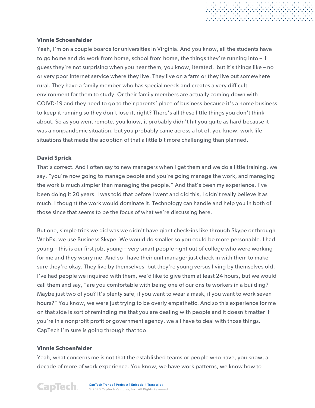## **Vinnie Schoenfelder**

Yeah, I'm on a couple boards for universities in Virginia. And you know, all the students have to go home and do work from home, school from home, the things they're running into – I guess they're not surprising when you hear them, you know, iterated, but it's things like – no or very poor Internet service where they live. They live on a farm or they live out somewhere rural. They have a family member who has special needs and creates a very difficult environment for them to study. Or their family members are actually coming down with COIVD-19 and they need to go to their parents' place of business because it's a home business to keep it running so they don't lose it, right? There's all these little things you don't think about. So as you went remote, you know, it probably didn't hit you quite as hard because it was a nonpandemic situation, but you probably came across a lot of, you know, work life situations that made the adoption of that a little bit more challenging than planned.

## **David Sprick**

That's correct. And I often say to new managers when I get them and we do a little training, we say, "you're now going to manage people and you're going manage the work, and managing the work is much simpler than managing the people." And that's been my experience, I've been doing it 20 years. I was told that before I went and did this, I didn't really believe it as much. I thought the work would dominate it. Technology can handle and help you in both of those since that seems to be the focus of what we're discussing here.

But one, simple trick we did was we didn't have giant check-ins like through Skype or through WebEx, we use Business Skype. We would do smaller so you could be more personable. I had young – this is our first job, young – very smart people right out of college who were working for me and they worry me. And so I have their unit manager just check in with them to make sure they're okay. They live by themselves, but they're young versus living by themselves old. I've had people we inquired with them, we'd like to give them at least 24 hours, but we would call them and say, "are you comfortable with being one of our onsite workers in a building? Maybe just two of you? It's plenty safe, if you want to wear a mask, if you want to work seven hours?" You know, we were just trying to be overly empathetic. And so this experience for me on that side is sort of reminding me that you are dealing with people and it doesn't matter if you're in a nonprofit profit or government agency, we all have to deal with those things. CapTech I'm sure is going through that too.

## **Vinnie Schoenfelder**

Yeah, what concerns me is not that the established teams or people who have, you know, a decade of more of work experience. You know, we have work patterns, we know how to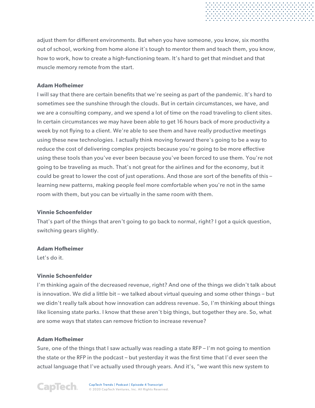adjust them for different environments. But when you have someone, you know, six months out of school, working from home alone it's tough to mentor them and teach them, you know, how to work, how to create a high-functioning team. It's hard to get that mindset and that muscle memory remote from the start.

## **Adam Hofheimer**

I will say that there are certain benefits that we're seeing as part of the pandemic. It's hard to sometimes see the sunshine through the clouds. But in certain circumstances, we have, and we are a consulting company, and we spend a lot of time on the road traveling to client sites. In certain circumstances we may have been able to get 16 hours back of more productivity a week by not flying to a client. We're able to see them and have really productive meetings using these new technologies. I actually think moving forward there's going to be a way to reduce the cost of delivering complex projects because you're going to be more effective using these tools than you've ever been because you've been forced to use them. You're not going to be traveling as much. That's not great for the airlines and for the economy, but it could be great to lower the cost of just operations. And those are sort of the benefits of this – learning new patterns, making people feel more comfortable when you're not in the same room with them, but you can be virtually in the same room with them.

## **Vinnie Schoenfelder**

That's part of the things that aren't going to go back to normal, right? I got a quick question, switching gears slightly.

## **Adam Hofheimer**

Let's do it.

# **Vinnie Schoenfelder**

I'm thinking again of the decreased revenue, right? And one of the things we didn't talk about is innovation. We did a little bit – we talked about virtual queuing and some other things – but we didn't really talk about how innovation can address revenue. So, I'm thinking about things like licensing state parks. I know that these aren't big things, but together they are. So, what are some ways that states can remove friction to increase revenue?

## **Adam Hofheimer**

Sure, one of the things that I saw actually was reading a state RFP – I'm not going to mention the state or the RFP in the podcast – but yesterday it was the first time that I'd ever seen the actual language that I've actually used through years. And it's, "we want this new system to

**CapTech.** 

CapTech Trends | Podcast | Episode 4 Transcript © 2020 CapTech Ventures, Inc. All Rights Reserved.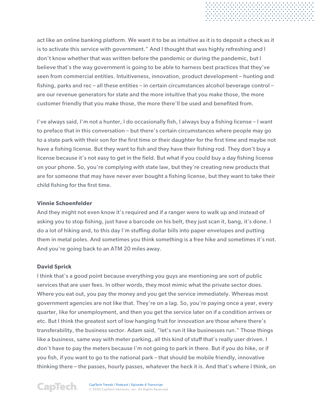act like an online banking platform. We want it to be as intuitive as it is to deposit a check as it is to activate this service with government." And I thought that was highly refreshing and I don't know whether that was written before the pandemic or during the pandemic, but I believe that's the way government is going to be able to harness best practices that they've seen from commercial entities. Intuitiveness, innovation, product development – hunting and fishing, parks and rec – all these entities – in certain circumstances alcohol beverage control – are our revenue generators for state and the more intuitive that you make those, the more customer friendly that you make those, the more there'll be used and benefited from.

I've always said, I'm not a hunter, I do occasionally fish, I always buy a fishing license – I want to preface that in this conversation – but there's certain circumstances where people may go to a state park with their son for the first time or their daughter for the first time and maybe not have a fishing license. But they want to fish and they have their fishing rod. They don't buy a license because it's not easy to get in the field. But what if you could buy a day fishing license on your phone. So, you're complying with state law, but they're creating new products that are for someone that may have never ever bought a fishing license, but they want to take their child fishing for the first time.

#### **Vinnie Schoenfelder**

And they might not even know it's required and if a ranger were to walk up and instead of asking you to stop fishing, just have a barcode on his belt, they just scan it, bang, it's done. I do a lot of hiking and, to this day I'm stuffing dollar bills into paper envelopes and putting them in metal poles. And sometimes you think something is a free hike and sometimes it's not. And you're going back to an ATM 20 miles away.

#### **David Sprick**

I think that's a good point because everything you guys are mentioning are sort of public services that are user fees. In other words, they most mimic what the private sector does. Where you eat out, you pay the money and you get the service immediately. Whereas most government agencies are not like that. They're on a lag. So, you're paying once a year, every quarter, like for unemployment, and then you get the service later on if a condition arrives or etc. But I think the greatest sort of low hanging fruit for innovation are those where there's transferability, the business sector. Adam said, "let's run it like businesses run." Those things like a business, same way with meter parking, all this kind of stuff that's really user driven. I don't have to pay the meters because I'm not going to park in there. But if you do hike, or if you fish, if you want to go to the national park – that should be mobile friendly, innovative thinking there – the passes, hourly passes, whatever the heck it is. And that's where I think, on

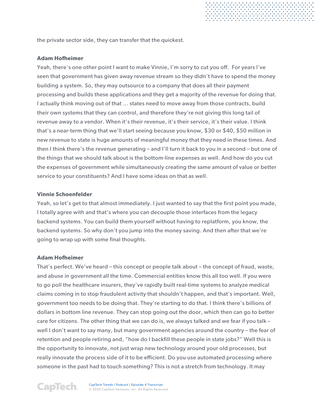the private sector side, they can transfer that the quickest.

#### **Adam Hofheimer**

Yeah, there's one other point I want to make Vinnie, I'm sorry to cut you off. For years I've seen that government has given away revenue stream so they didn't have to spend the money building a system. So, they may outsource to a company that does all their payment processing and builds these applications and they get a majority of the revenue for doing that. I actually think moving out of that … states need to move away from those contracts, build their own systems that they can control, and therefore they're not giving this long tail of revenue away to a vendor. When it's their revenue, it's their service, it's their value. I think that's a near-term thing that we'll start seeing because you know, \$30 or \$40, \$50 million in new revenue to state is huge amounts of meaningful money that they need in these times. And then I think there's the revenue generating – and I'll turn it back to you in a second – but one of the things that we should talk about is the bottom-line expenses as well. And how do you cut the expenses of government while simultaneously creating the same amount of value or better service to your constituents? And I have some ideas on that as well.

#### **Vinnie Schoenfelder**

Yeah, so let's get to that almost immediately. I just wanted to say that the first point you made, I totally agree with and that's where you can decouple those interfaces from the legacy backend systems. You can build them yourself without having to replatform, you know, the backend systems. So why don't you jump into the money saving. And then after that we're going to wrap up with some final thoughts.

#### **Adam Hofheimer**

That's perfect. We've heard – this concept or people talk about – the concept of fraud, waste, and abuse in government all the time. Commercial entities know this all too well. If you were to go poll the healthcare insurers, they've rapidly built real-time systems to analyze medical claims coming in to stop fraudulent activity that shouldn't happen, and that's important. Well, government too needs to be doing that. They're starting to do that. I think there's billions of dollars in bottom line revenue. They can stop going out the door, which then can go to better care for citizens. The other thing that we can do is, we always talked and we fear if you talk well I don't want to say many, but many government agencies around the country – the fear of retention and people retiring and, "how do I backfill these people in state jobs?" Well this is the opportunity to innovate, not just wrap new technology around your old processes, but really innovate the process side of it to be efficient. Do you use automated processing where someone in the past had to touch something? This is not a stretch from technology. It may

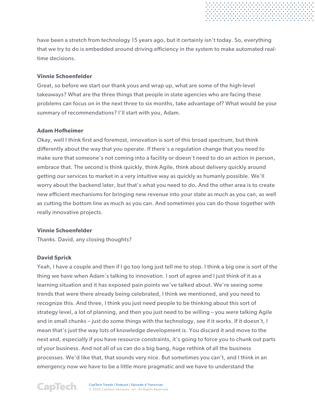have been a stretch from technology 15 years ago, but it certainly isn't today. So, everything that we try to do is embedded around driving efficiency in the system to make automated realtime decisions.

## **Vinnie Schoenfelder**

Great, so before we start our thank yous and wrap up, what are some of the high-level takeaways? What are the three things that people in state agencies who are facing these problems can focus on in the next three to six months, take advantage of? What would be your summary of recommendations? I'll start with you, Adam.

## **Adam Hofheimer**

Okay, well I think first and foremost, innovation is sort of this broad spectrum, but think differently about the way that you operate. If there's a regulation change that you need to make sure that someone's not coming into a facility or doesn't need to do an action in person, embrace that. The second is think quickly, think Agile, think about delivery quickly around getting our services to market in a very intuitive way as quickly as humanly possible. We'll worry about the backend later, but that's what you need to do. And the other area is to create new efficient mechanisms for bringing new revenue into your state as much as you can, as well as cutting the bottom line as much as you can. And sometimes you can do those together with really innovative projects.

## **Vinnie Schoenfelder**

Thanks. David, any closing thoughts?

# **David Sprick**

Yeah, I have a couple and then if I go too long just tell me to stop. I think a big one is sort of the thing we have when Adam's talking to innovation. I sort of agree and I just think of it as a learning situation and it has exposed pain points we've talked about. We're seeing some trends that were there already being celebrated, I think we mentioned, and you need to recognize this. And three, I think you just need people to be thinking about this sort of strategy level, a lot of planning, and then you just need to be willing – you were talking Agile and in small chunks – just do some things with the technology, see if it works. If it doesn't, I mean that's just the way lots of knowledge development is. You discard it and move to the next and, especially if you have resource constraints, it's going to force you to chunk out parts of your business. And not all of us can do a big bang, huge rethink of all the business processes. We'd like that, that sounds very nice. But sometimes you can't, and I think in an emergency now we have to be a little more pragmatic and we have to understand the

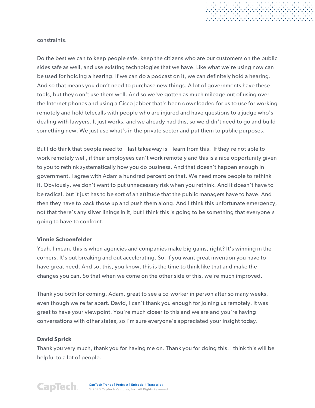constraints.

Do the best we can to keep people safe, keep the citizens who are our customers on the public sides safe as well, and use existing technologies that we have. Like what we're using now can be used for holding a hearing. If we can do a podcast on it, we can definitely hold a hearing. And so that means you don't need to purchase new things. A lot of governments have these tools, but they don't use them well. And so we've gotten as much mileage out of using over the Internet phones and using a Cisco Jabber that's been downloaded for us to use for working remotely and hold telecalls with people who are injured and have questions to a judge who's dealing with lawyers. It just works, and we already had this, so we didn't need to go and build something new. We just use what's in the private sector and put them to public purposes.

. . . . . . . . . . . . . . . . . . .<br>. . . . . . . . . . . . . . . . . . .<br>. . . . . . . . . . . . . . . . . . .

But I do think that people need to – last takeaway is – learn from this. If they're not able to work remotely well, if their employees can't work remotely and this is a nice opportunity given to you to rethink systematically how you do business. And that doesn't happen enough in government, I agree with Adam a hundred percent on that. We need more people to rethink it. Obviously, we don't want to put unnecessary risk when you rethink. And it doesn't have to be radical, but it just has to be sort of an attitude that the public managers have to have. And then they have to back those up and push them along. And I think this unfortunate emergency, not that there's any silver linings in it, but I think this is going to be something that everyone's going to have to confront.

#### **Vinnie Schoenfelder**

Yeah. I mean, this is when agencies and companies make big gains, right? It's winning in the corners. It's out breaking and out accelerating. So, if you want great invention you have to have great need. And so, this, you know, this is the time to think like that and make the changes you can. So that when we come on the other side of this, we're much improved.

Thank you both for coming. Adam, great to see a co-worker in person after so many weeks, even though we're far apart. David, I can't thank you enough for joining us remotely. It was great to have your viewpoint. You're much closer to this and we are and you're having conversations with other states, so I'm sure everyone's appreciated your insight today.

#### **David Sprick**

Thank you very much, thank you for having me on. Thank you for doing this. I think this will be helpful to a lot of people.